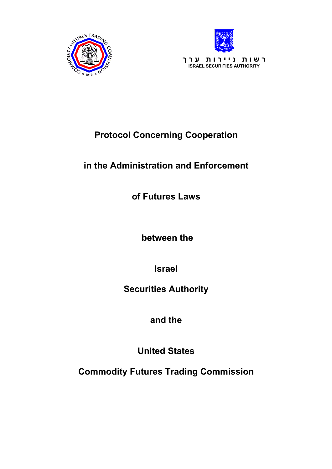



# **Protocol Concerning Cooperation**

## **in the Administration and Enforcement**

**of Futures Laws** 

 **between the** 

**Israel** 

## **Securities Authority**

**and the** 

**United States** 

**Commodity Futures Trading Commission**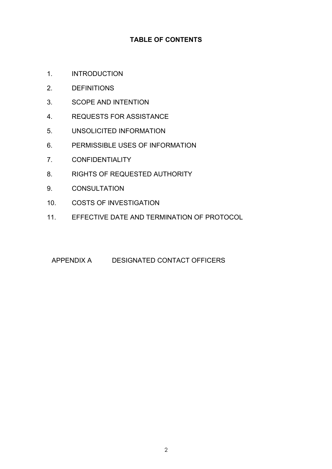## **TABLE OF CONTENTS**

- 1. INTRODUCTION
- 2. DEFINITIONS
- 3. SCOPE AND INTENTION
- 4. REQUESTS FOR ASSISTANCE
- 5. UNSOLICITED INFORMATION
- 6. PERMISSIBLE USES OF INFORMATION
- 7. CONFIDENTIALITY
- 8. RIGHTS OF REQUESTED AUTHORITY
- 9. CONSULTATION
- 10. COSTS OF INVESTIGATION
- 11. EFFECTIVE DATE AND TERMINATION OF PROTOCOL

#### APPENDIX A DESIGNATED CONTACT OFFICERS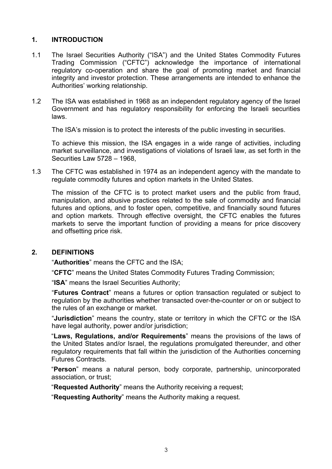#### **1. INTRODUCTION**

- 1.1 The Israel Securities Authority ("ISA") and the United States Commodity Futures Trading Commission ("CFTC") acknowledge the importance of international regulatory co-operation and share the goal of promoting market and financial integrity and investor protection. These arrangements are intended to enhance the Authorities' working relationship.
- 1.2 The ISA was established in 1968 as an independent regulatory agency of the Israel Government and has regulatory responsibility for enforcing the Israeli securities laws.

The ISA's mission is to protect the interests of the public investing in securities.

 To achieve this mission, the ISA engages in a wide range of activities, including market surveillance, and investigations of violations of Israeli law, as set forth in the Securities Law 5728 – 1968,

1.3 The CFTC was established in 1974 as an independent agency with the mandate to regulate commodity futures and option markets in the United States.

The mission of the CFTC is to protect market users and the public from fraud, manipulation, and abusive practices related to the sale of commodity and financial futures and options, and to foster open, competitive, and financially sound futures and option markets. Through effective oversight, the CFTC enables the futures markets to serve the important function of providing a means for price discovery and offsetting price risk.

#### **2. DEFINITIONS**

"**Authorities**" means the CFTC and the ISA;

"**CFTC**" means the United States Commodity Futures Trading Commission;

"**ISA**" means the Israel Securities Authority;

"**Futures Contract**" means a futures or option transaction regulated or subject to regulation by the authorities whether transacted over-the-counter or on or subject to the rules of an exchange or market.

"**Jurisdiction**" means the country, state or territory in which the CFTC or the ISA have legal authority, power and/or jurisdiction;

"**Laws, Regulations, and/or Requirements**" means the provisions of the laws of the United States and/or Israel, the regulations promulgated thereunder, and other regulatory requirements that fall within the jurisdiction of the Authorities concerning Futures Contracts.

"**Person**" means a natural person, body corporate, partnership, unincorporated association, or trust;

"**Requested Authority**" means the Authority receiving a request;

"**Requesting Authority**" means the Authority making a request.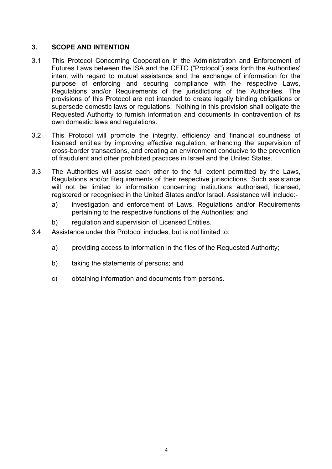## **3. SCOPE AND INTENTION**

- 3.1 This Protocol Concerning Cooperation in the Administration and Enforcement of Futures Laws between the ISA and the CFTC ("Protocol") sets forth the Authorities' intent with regard to mutual assistance and the exchange of information for the purpose of enforcing and securing compliance with the respective Laws, Regulations and/or Requirements of the jurisdictions of the Authorities. The provisions of this Protocol are not intended to create legally binding obligations or supersede domestic laws or regulations. Nothing in this provision shall obligate the Requested Authority to furnish information and documents in contravention of its own domestic laws and regulations.
- 3.2 This Protocol will promote the integrity, efficiency and financial soundness of licensed entities by improving effective regulation, enhancing the supervision of cross-border transactions, and creating an environment conducive to the prevention of fraudulent and other prohibited practices in Israel and the United States.
- 3.3 The Authorities will assist each other to the full extent permitted by the Laws, Regulations and/or Requirements of their respective jurisdictions. Such assistance will not be limited to information concerning institutions authorised, licensed, registered or recognised in the United States and/or Israel. Assistance will include:
	- a) investigation and enforcement of Laws, Regulations and/or Requirements pertaining to the respective functions of the Authorities; and
	- b) regulation and supervision of Licensed Entities.
- 3.4 Assistance under this Protocol includes, but is not limited to:
	- a) providing access to information in the files of the Requested Authority;
	- b) taking the statements of persons; and
	- c) obtaining information and documents from persons.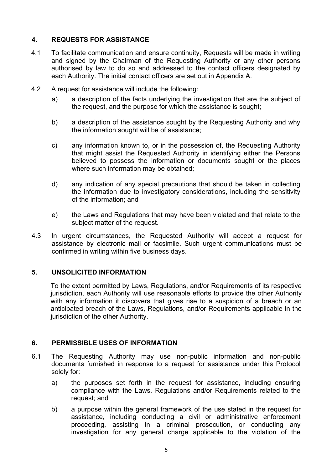## **4. REQUESTS FOR ASSISTANCE**

- 4.1 To facilitate communication and ensure continuity, Requests will be made in writing and signed by the Chairman of the Requesting Authority or any other persons authorised by law to do so and addressed to the contact officers designated by each Authority. The initial contact officers are set out in Appendix A.
- 4.2 A request for assistance will include the following:
	- a) a description of the facts underlying the investigation that are the subject of the request, and the purpose for which the assistance is sought;
	- b) a description of the assistance sought by the Requesting Authority and why the information sought will be of assistance;
	- c) any information known to, or in the possession of, the Requesting Authority that might assist the Requested Authority in identifying either the Persons believed to possess the information or documents sought or the places where such information may be obtained;
	- d) any indication of any special precautions that should be taken in collecting the information due to investigatory considerations, including the sensitivity of the information; and
	- e) the Laws and Regulations that may have been violated and that relate to the subject matter of the request.
- 4.3 In urgent circumstances, the Requested Authority will accept a request for assistance by electronic mail or facsimile. Such urgent communications must be confirmed in writing within five business days.

#### **5. UNSOLICITED INFORMATION**

To the extent permitted by Laws, Regulations, and/or Requirements of its respective jurisdiction, each Authority will use reasonable efforts to provide the other Authority with any information it discovers that gives rise to a suspicion of a breach or an anticipated breach of the Laws, Regulations, and/or Requirements applicable in the jurisdiction of the other Authority.

### **6. PERMISSIBLE USES OF INFORMATION**

- 6.1 The Requesting Authority may use non-public information and non-public documents furnished in response to a request for assistance under this Protocol solely for:
	- a) the purposes set forth in the request for assistance, including ensuring compliance with the Laws, Regulations and/or Requirements related to the request; and
	- b) a purpose within the general framework of the use stated in the request for assistance, including conducting a civil or administrative enforcement proceeding, assisting in a criminal prosecution, or conducting any investigation for any general charge applicable to the violation of the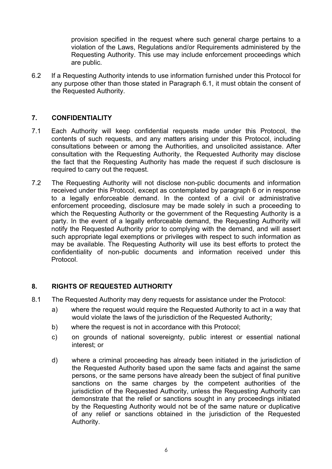provision specified in the request where such general charge pertains to a violation of the Laws, Regulations and/or Requirements administered by the Requesting Authority. This use may include enforcement proceedings which are public.

6.2 If a Requesting Authority intends to use information furnished under this Protocol for any purpose other than those stated in Paragraph 6.1, it must obtain the consent of the Requested Authority.

#### **7. CONFIDENTIALITY**

- 7.1 Each Authority will keep confidential requests made under this Protocol, the contents of such requests, and any matters arising under this Protocol, including consultations between or among the Authorities, and unsolicited assistance. After consultation with the Requesting Authority, the Requested Authority may disclose the fact that the Requesting Authority has made the request if such disclosure is required to carry out the request.
- 7.2 The Requesting Authority will not disclose non-public documents and information received under this Protocol, except as contemplated by paragraph 6 or in response to a legally enforceable demand. In the context of a civil or administrative enforcement proceeding, disclosure may be made solely in such a proceeding to which the Requesting Authority or the government of the Requesting Authority is a party. In the event of a legally enforceable demand, the Requesting Authority will notify the Requested Authority prior to complying with the demand, and will assert such appropriate legal exemptions or privileges with respect to such information as may be available. The Requesting Authority will use its best efforts to protect the confidentiality of non-public documents and information received under this Protocol.

### **8. RIGHTS OF REQUESTED AUTHORITY**

- 8.1 The Requested Authority may deny requests for assistance under the Protocol:
	- a) where the request would require the Requested Authority to act in a way that would violate the laws of the jurisdiction of the Requested Authority;
	- b) where the request is not in accordance with this Protocol;
	- c) on grounds of national sovereignty, public interest or essential national interest; or
	- d) where a criminal proceeding has already been initiated in the jurisdiction of the Requested Authority based upon the same facts and against the same persons, or the same persons have already been the subject of final punitive sanctions on the same charges by the competent authorities of the jurisdiction of the Requested Authority, unless the Requesting Authority can demonstrate that the relief or sanctions sought in any proceedings initiated by the Requesting Authority would not be of the same nature or duplicative of any relief or sanctions obtained in the jurisdiction of the Requested Authority.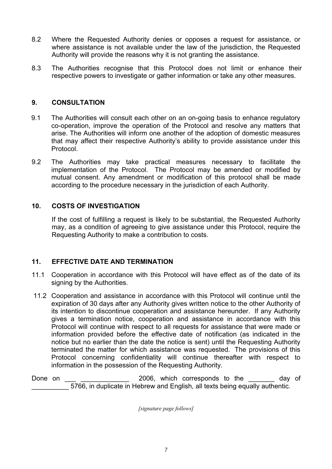- 8.2 Where the Requested Authority denies or opposes a request for assistance, or where assistance is not available under the law of the jurisdiction, the Requested Authority will provide the reasons why it is not granting the assistance.
- 8.3 The Authorities recognise that this Protocol does not limit or enhance their respective powers to investigate or gather information or take any other measures.

#### **9. CONSULTATION**

- 9.1 The Authorities will consult each other on an on-going basis to enhance regulatory co-operation, improve the operation of the Protocol and resolve any matters that arise. The Authorities will inform one another of the adoption of domestic measures that may affect their respective Authority's ability to provide assistance under this Protocol.
- 9.2 The Authorities may take practical measures necessary to facilitate the implementation of the Protocol. The Protocol may be amended or modified by mutual consent. Any amendment or modification of this protocol shall be made according to the procedure necessary in the jurisdiction of each Authority.

### **10. COSTS OF INVESTIGATION**

If the cost of fulfilling a request is likely to be substantial, the Requested Authority may, as a condition of agreeing to give assistance under this Protocol, require the Requesting Authority to make a contribution to costs.

#### **11. EFFECTIVE DATE AND TERMINATION**

- 11.1 Cooperation in accordance with this Protocol will have effect as of the date of its signing by the Authorities.
- 11.2 Cooperation and assistance in accordance with this Protocol will continue until the expiration of 30 days after any Authority gives written notice to the other Authority of its intention to discontinue cooperation and assistance hereunder. If any Authority gives a termination notice, cooperation and assistance in accordance with this Protocol will continue with respect to all requests for assistance that were made or information provided before the effective date of notification (as indicated in the notice but no earlier than the date the notice is sent) until the Requesting Authority terminated the matter for which assistance was requested. The provisions of this Protocol concerning confidentiality will continue thereafter with respect to information in the possession of the Requesting Authority.

Done on 2006, which corresponds to the day of \_\_\_\_\_\_\_\_\_\_ 5766, in duplicate in Hebrew and English, all texts being equally authentic.

*[signature page follows]*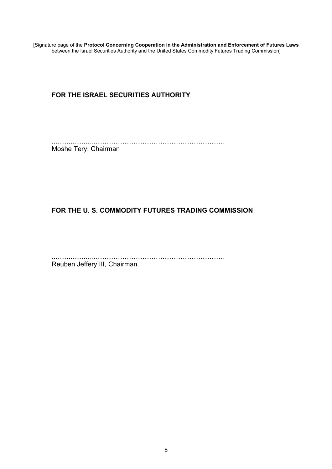[Signature page of the **Protocol Concerning Cooperation in the Administration and Enforcement of Futures Laws** between the Israel Securities Authority and the United States Commodity Futures Trading Commission]

## **FOR THE ISRAEL SECURITIES AUTHORITY**

.....................…………………………………………………… Moshe Tery, Chairman

## **FOR THE U. S. COMMODITY FUTURES TRADING COMMISSION**

.....................……………………………………………………

Reuben Jeffery III, Chairman